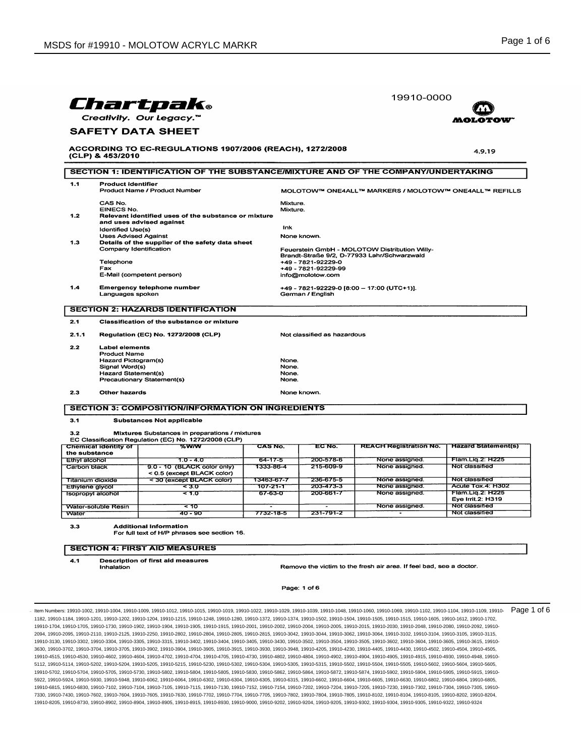|                          |                                              |                                                                                                         |                | 19910-0000                  |                                                                                              |                                         |  |
|--------------------------|----------------------------------------------|---------------------------------------------------------------------------------------------------------|----------------|-----------------------------|----------------------------------------------------------------------------------------------|-----------------------------------------|--|
| Chartpak.                |                                              |                                                                                                         |                |                             |                                                                                              |                                         |  |
| Creativity. Our Legacy.™ |                                              |                                                                                                         |                |                             |                                                                                              |                                         |  |
| <b>SAFETY DATA SHEET</b> |                                              |                                                                                                         |                |                             |                                                                                              |                                         |  |
|                          |                                              |                                                                                                         |                |                             |                                                                                              |                                         |  |
|                          | (CLP) & 453/2010                             | ACCORDING TO EC-REGULATIONS 1907/2006 (REACH), 1272/2008                                                |                |                             |                                                                                              | 4.9.19                                  |  |
|                          |                                              | SECTION 1: IDENTIFICATION OF THE SUBSTANCE/MIXTURE AND OF THE COMPANY/UNDERTAKING                       |                |                             |                                                                                              |                                         |  |
| 1.1                      | <b>Product identifier</b>                    |                                                                                                         |                |                             |                                                                                              |                                         |  |
|                          |                                              | Product Name / Product Number                                                                           |                |                             | MOLOTOW™ ONE4ALL™ MARKERS / MOLOTOW™ ONE4ALL™ REFILLS                                        |                                         |  |
|                          | CAS No.                                      |                                                                                                         | Mixture.       |                             |                                                                                              |                                         |  |
| 1.2                      | <b>EINECS No.</b>                            | Relevant identified uses of the substance or mixture                                                    | Mixture.       |                             |                                                                                              |                                         |  |
|                          |                                              | and uses advised against                                                                                |                |                             |                                                                                              |                                         |  |
|                          | <b>Identified Use(s)</b>                     |                                                                                                         | Ink            |                             |                                                                                              |                                         |  |
|                          | <b>Uses Advised Against</b>                  |                                                                                                         |                | None known.                 |                                                                                              |                                         |  |
| 1.3                      |                                              | Details of the supplier of the safety data sheet                                                        |                |                             |                                                                                              |                                         |  |
|                          | Company Identification                       |                                                                                                         |                |                             | Feuerstein GmbH - MOLOTOW Distribution Willy-<br>Brandt-Straße 9/2, D-77933 Lahr/Schwarzwald |                                         |  |
|                          | Telephone                                    |                                                                                                         |                | +49 - 7821-92229-0          |                                                                                              |                                         |  |
|                          | Fax                                          |                                                                                                         |                | +49 - 7821-92229-99         |                                                                                              |                                         |  |
|                          |                                              | E-Mail (competent person)                                                                               |                | info@molotow.com            |                                                                                              |                                         |  |
| 1.4                      |                                              | <b>Emergency telephone number</b>                                                                       |                |                             | +49 - 7821-92229-0 [8:00 - 17:00 (UTC+1)].                                                   |                                         |  |
|                          | Languages spoken                             |                                                                                                         |                | German / English            |                                                                                              |                                         |  |
|                          |                                              | <b>SECTION 2: HAZARDS IDENTIFICATION</b>                                                                |                |                             |                                                                                              |                                         |  |
| 2.1                      |                                              | Classification of the substance or mixture                                                              |                |                             |                                                                                              |                                         |  |
| 2.1.1                    |                                              | Regulation (EC) No. 1272/2008 (CLP)                                                                     |                | Not classified as hazardous |                                                                                              |                                         |  |
| 2.2                      | <b>Label elements</b>                        |                                                                                                         |                |                             |                                                                                              |                                         |  |
|                          | <b>Product Name</b>                          |                                                                                                         |                |                             |                                                                                              |                                         |  |
|                          | Hazard Pictogram(s)                          |                                                                                                         | None.          |                             |                                                                                              |                                         |  |
|                          | Signal Word(s)<br><b>Hazard Statement(s)</b> |                                                                                                         | None.<br>None. |                             |                                                                                              |                                         |  |
|                          |                                              | Precautionary Statement(s)                                                                              | None.          |                             |                                                                                              |                                         |  |
| 2.3                      | Other hazards                                |                                                                                                         |                | None known.                 |                                                                                              |                                         |  |
|                          |                                              |                                                                                                         |                |                             |                                                                                              |                                         |  |
|                          |                                              | <b>SECTION 3: COMPOSITION/INFORMATION ON INGREDIENTS</b>                                                |                |                             |                                                                                              |                                         |  |
| 3.1                      |                                              | <b>Substances Not applicable</b>                                                                        |                |                             |                                                                                              |                                         |  |
| 3.2                      |                                              | Mixtures Substances in preparations / mixtures<br>EC Classification Regulation (EC) No. 1272/2008 (CLP) |                |                             |                                                                                              |                                         |  |
|                          | Chemical identity of                         | %w/w                                                                                                    | CAS No.        | EC No.                      | <b>REACH Registration No.</b>                                                                | <b>Hazard Statement(s)</b>              |  |
|                          | the substance                                |                                                                                                         |                |                             |                                                                                              |                                         |  |
| <b>Ethyl alcohol</b>     |                                              | 10-40                                                                                                   | 64-17-5        | 200-578-6                   | None assigned.                                                                               | Flam.Lig.2: H225                        |  |
| Carbon black             |                                              | 9.0 - 10 (BLACK color only)<br>< 0.5 (except BLACK color)                                               | 1333-86-4      | 215-609-9                   | None assigned.                                                                               | Not classified                          |  |
|                          | <b>Titanium dioxide</b>                      | < 30 (except BLACK color)                                                                               | 13463-67-7     | 236-675-5                   | None assigned.                                                                               | Not classified                          |  |
|                          | <b>Ethylene glycol</b>                       | ਵਤ ਹ                                                                                                    | 107-21-1       | 203-473-3                   | None assigned.                                                                               | Acute Tox.4: H302                       |  |
|                          | Isopropyl alcohol                            | ਵ 1.0                                                                                                   | 67-63-0        | 200-661-7                   | None assigned.                                                                               | Flam.Lig.2: H225                        |  |
|                          |                                              |                                                                                                         |                |                             |                                                                                              | Eye Irrit.2: H319                       |  |
| Water                    | <b>Water-soluble Resin</b>                   | < 10<br>40 - 90                                                                                         | 7732-18-5      | 231-791-2                   | None assigned.                                                                               | <b>Not classified</b><br>Not classified |  |
|                          |                                              |                                                                                                         |                |                             |                                                                                              |                                         |  |
| 3.3                      |                                              | <b>Additional Information</b><br>For full text of H/P phrases see section 16.                           |                |                             |                                                                                              |                                         |  |
|                          |                                              |                                                                                                         |                |                             |                                                                                              |                                         |  |
|                          |                                              | <b>SECTION 4: FIRST AID MEASURES</b>                                                                    |                |                             |                                                                                              |                                         |  |
| 4.1                      |                                              | <b>Description of first aid measures</b>                                                                |                |                             |                                                                                              |                                         |  |
|                          | Inhalation                                   |                                                                                                         |                |                             | Remove the victim to the fresh air area. If feel bad, see a doctor.                          |                                         |  |
|                          |                                              |                                                                                                         |                |                             |                                                                                              |                                         |  |

Page: 1 of 6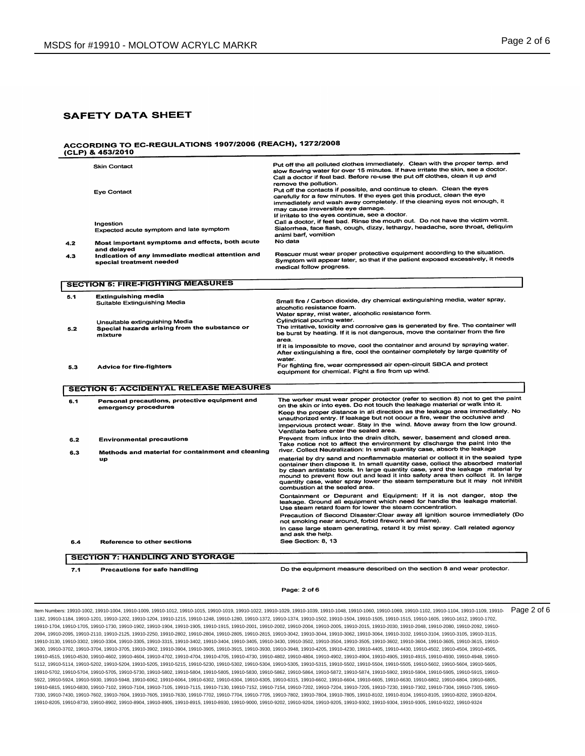#### **ACCORDING TO EC-REGULATIONS 1907/2006 (REACH), 1272/2008** (CLP) & 453/2010

|     | <b>Skin Contact</b>                                                                        | Put off the all polluted clothes immediately. Clean with the proper temp. and<br>slow flowing water for over 15 minutes. If have irritate the skin, see a doctor.<br>Call a doctor if feel bad. Before re-use the put off clothes, clean it up and                                                                                                                                                                                                            |
|-----|--------------------------------------------------------------------------------------------|---------------------------------------------------------------------------------------------------------------------------------------------------------------------------------------------------------------------------------------------------------------------------------------------------------------------------------------------------------------------------------------------------------------------------------------------------------------|
|     | <b>Eye Contact</b>                                                                         | remove the pollution.<br>Put off the contacts if possible, and continue to clean. Clean the eyes<br>carefully for a few minutes. If the eyes get this product, clean the eye<br>immediately and wash away completely. If the cleaning eyes not enough, it<br>may cause irreversible eye damage.<br>If irritate to the eyes continue, see a doctor.                                                                                                            |
|     | Ingestion<br>Expected acute symptom and late symptom                                       | Call a doctor, if feel bad. Rinse the mouth out. Do not have the victim vomit.<br>Sialorrhea, face flash, cough, dizzy, lethargy, headache, sore throat, deliquim<br>animi barf, vomition                                                                                                                                                                                                                                                                     |
| 4.2 | Most important symptoms and effects, both acute<br>and delayed                             | No data                                                                                                                                                                                                                                                                                                                                                                                                                                                       |
| 4.3 | Indication of any immediate medical attention and<br>special treatment needed              | Rescuer must wear proper protective equipment according to the situation.<br>Symptom will appear later, so that if the patient exposed excessively, it needs<br>medical follow progress.                                                                                                                                                                                                                                                                      |
|     | <b>SECTION 5: FIRE-FIGHTING MEASURES</b>                                                   |                                                                                                                                                                                                                                                                                                                                                                                                                                                               |
| 5.1 | <b>Extinguishing media</b><br>Suitable Extinguishing Media                                 | Small fire / Carbon dioxide, dry chemical extinguishing media, water spray,<br>alcoholic resistance foam.                                                                                                                                                                                                                                                                                                                                                     |
| 5.2 | Unsuitable extinguishing Media<br>Special hazards arising from the substance or<br>mixture | Water spray, mist water, alcoholic resistance form.<br>Cylindrical pouring water.<br>The irritative, toxicity and corrosive gas is generated by fire. The container will<br>be burst by heating. If it is not dangerous, move the container from the fire<br>area.<br>If it is impossible to move, cool the container and around by spraying water.                                                                                                           |
| 5.3 | <b>Advice for fire-fighters</b>                                                            | After extinguishing a fire, cool the container completely by large quantity of<br>water.<br>For fighting fire, wear compressed air open-circuit SBCA and protect<br>equipment for chemical. Fight a fire from up wind.                                                                                                                                                                                                                                        |
|     | <b>SECTION 6: ACCIDENTAL RELEASE MEASURES</b>                                              |                                                                                                                                                                                                                                                                                                                                                                                                                                                               |
| 6.1 | Personal precautions, protective equipment and<br>emergency procedures                     | The worker must wear proper protector (refer to section 8) not to get the paint<br>on the skin or into eyes. Do not touch the leakage material or walk into it.<br>Keep the proper distance in all direction as the leakage area immediately. No                                                                                                                                                                                                              |
|     |                                                                                            | unauthorized entry. If leakage but not occur a fire, wear the occlusive and<br>impervious protect wear. Stay in the wind. Move away from the low ground.<br>Ventilate before enter the sealed area.                                                                                                                                                                                                                                                           |
| 6.2 | <b>Environmental precautions</b>                                                           | Prevent from influx into the drain ditch, sewer, basement and closed area.<br>Take notice not to affect the environment by discharge the paint into the<br>river. Collect Neutralization: In small quantity case, absorb the leakage                                                                                                                                                                                                                          |
| 6.3 | Methods and material for containment and cleaning<br>up                                    | material by dry sand and nonflammable material or collect it in the sealed type<br>container then dispose it. In small quantity case, collect the absorbed material<br>by clean antistatic tools. In large quantity case, yard the leakage material by<br>mound to prevent flow out and lead it into safety area then collect it. In large<br>quantity case, water spray lower the steam temperature but it may not inhibit<br>combustion at the sealed area. |
|     |                                                                                            | Containment or Depurant and Equipment: If it is not danger, stop the<br>leakage. Ground all equipment which need for handle the leakage material.<br>Use steam retard foam for lower the steam concentration.                                                                                                                                                                                                                                                 |
|     |                                                                                            | Precaution of Second Disaster: Clear away all ignition source immediately (Do<br>not smoking near around, forbid firework and flame).                                                                                                                                                                                                                                                                                                                         |
|     |                                                                                            | In case large steam generating, retard it by mist spray. Call related agency<br>and ask the help.                                                                                                                                                                                                                                                                                                                                                             |
|     |                                                                                            | See Section: 8, 13                                                                                                                                                                                                                                                                                                                                                                                                                                            |

 $7.1$ **Precautions for safe handling**  Do the equipment measure described on the section 8 and wear protector.

### Page: 2 of 6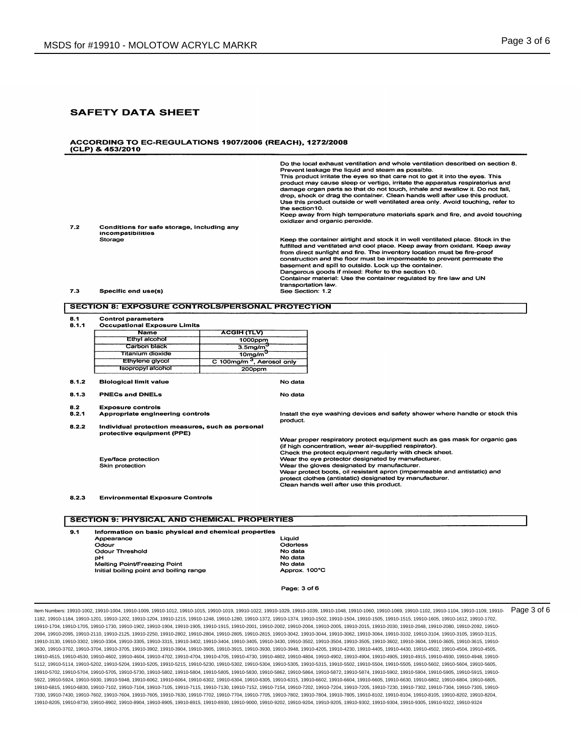#### ACCORDING TO EC-REGULATIONS 1907/2006 (REACH), 1272/2008 (CLP) & 453/2010

|     |                                                                 | Do the local exhaust ventilation and whole ventilation described on section 8.<br>Prevent leakage the liquid and steam as possible.<br>This product irritate the eyes so that care not to get it into the eyes. This<br>product may cause sleep or vertigo, irritate the apparatus respiratorius and<br>damage organ parts so that do not touch, inhale and swallow it. Do not fall,<br>drop, shock or drag the container. Clean hands well after use this product.<br>Use this product outside or well ventilated area only. Avoid touching, refer to<br>the section 10.<br>Keep away from high temperature materials spark and fire, and avoid touching<br>oxidizer and organic peroxide. |
|-----|-----------------------------------------------------------------|---------------------------------------------------------------------------------------------------------------------------------------------------------------------------------------------------------------------------------------------------------------------------------------------------------------------------------------------------------------------------------------------------------------------------------------------------------------------------------------------------------------------------------------------------------------------------------------------------------------------------------------------------------------------------------------------|
| 7.2 | Conditions for safe storage, including any<br>incompatibilities |                                                                                                                                                                                                                                                                                                                                                                                                                                                                                                                                                                                                                                                                                             |
|     | Storage                                                         | Keep the container airtight and stock it in well ventilated place. Stock in the<br>fulfilled and ventilated and cool place. Keep away from oxidant. Keep away<br>from direct sunlight and fire. The inventory location must be fire-proof<br>construction and the floor must be impermeable to prevent permeate the<br>basement and spill to outside. Lock up the container.<br>Dangerous goods if mixed: Refer to the section 10.<br>Container material: Use the container regulated by fire law and UN<br>transportation law.                                                                                                                                                             |
| 7.3 | Specific end use(s)                                             | See Section: 1.2                                                                                                                                                                                                                                                                                                                                                                                                                                                                                                                                                                                                                                                                            |

### **SECTION 8: EXPOSURE CONTROLS/PERSONAL PROTECTION**

**Control parameters** 8.1

| 8.1.1 | <b>Occupational Exposure Limits</b>                                            |                                       |                                                                                                   |                                                                              |  |
|-------|--------------------------------------------------------------------------------|---------------------------------------|---------------------------------------------------------------------------------------------------|------------------------------------------------------------------------------|--|
|       | <b>Name</b>                                                                    | <b>ACGIH (TLV)</b>                    |                                                                                                   |                                                                              |  |
|       | Ethyl alcohol<br>1000ppm                                                       |                                       |                                                                                                   |                                                                              |  |
|       | Carbon black<br>$3.5$ mg/m $^{\circ}$                                          |                                       |                                                                                                   |                                                                              |  |
|       | Tītanium dioxide                                                               | 10 <sub>mg/m</sub>                    |                                                                                                   |                                                                              |  |
|       | <b>Ethylene glycol</b>                                                         | C 100mg/m <sup>3</sup> , Aerosol only |                                                                                                   |                                                                              |  |
|       | <b>Isopropyl alcohol</b>                                                       | 200ppm                                |                                                                                                   |                                                                              |  |
| 8.1.2 | <b>Biological limit value</b>                                                  |                                       | No data                                                                                           |                                                                              |  |
| 8.1.3 | <b>PNECs and DNELs</b>                                                         |                                       | No data                                                                                           |                                                                              |  |
| 8.2   | <b>Exposure controls</b>                                                       |                                       |                                                                                                   |                                                                              |  |
| 8.2.1 | Appropriate engineering controls                                               |                                       | product.                                                                                          | Install the eve washing devices and safety shower where handle or stock this |  |
| 8.2.2 | Individual protection measures, such as personal<br>protective equipment (PPE) |                                       |                                                                                                   |                                                                              |  |
|       |                                                                                |                                       |                                                                                                   | Wear proper respiratory protect equipment such as gas mask for organic gas   |  |
|       |                                                                                |                                       |                                                                                                   | (if high concentration, wear air-supplied respirator).                       |  |
|       |                                                                                |                                       |                                                                                                   | Check the protect equipment regularly with check sheet.                      |  |
|       | Eve/face protection                                                            |                                       | Wear the eye protector designated by manufacturer.<br>Wear the gloves designated by manufacturer. |                                                                              |  |
|       | Skin protection                                                                |                                       |                                                                                                   | Wear protect boots, oil resistant apron (impermeable and antistatic) and     |  |
|       |                                                                                |                                       |                                                                                                   | protect clothes (antistatic) designated by manufacturer.                     |  |
|       |                                                                                |                                       |                                                                                                   | Clean hands well after use this product.                                     |  |
| 8.2.3 | <b>Environmental Exposure Controls</b>                                         |                                       |                                                                                                   |                                                                              |  |
|       |                                                                                |                                       |                                                                                                   |                                                                              |  |
|       | <b>CECTION 0. BUVCICAL AND CUEMICAL DROBEDTIES</b>                             |                                       |                                                                                                   |                                                                              |  |

## я

| 9.1 | Information on basic physical and chemical properties |               |  |  |
|-----|-------------------------------------------------------|---------------|--|--|
|     | Appearance                                            | Liauid        |  |  |
|     | Odour                                                 | Odorless      |  |  |
|     | Odour Threshold                                       | No data       |  |  |
|     | pН                                                    | No data       |  |  |
|     | Melting Point/Freezing Point                          | No data       |  |  |
|     | Initial boiling point and boiling range               | Approx. 100°C |  |  |

Page: 3 of 6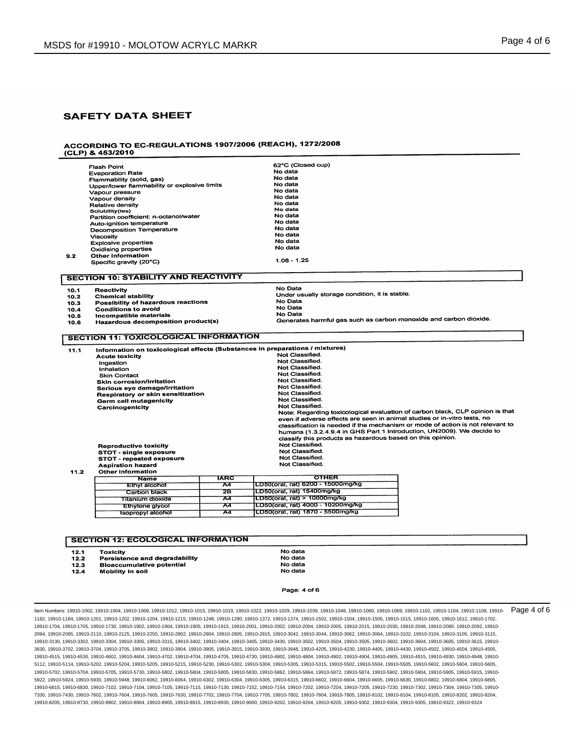# ACCORDING TO EC-REGULATIONS 1907/2006 (REACH), 1272/2008<br>(CLP) & 453/2010

|      | <b>Flash Point</b>                                                           |             | 62°C (Closed cup)                                                              |  |  |  |
|------|------------------------------------------------------------------------------|-------------|--------------------------------------------------------------------------------|--|--|--|
|      | <b>Evaporation Rate</b>                                                      |             | No data                                                                        |  |  |  |
|      | Flammability (solid, gas)                                                    |             | No data                                                                        |  |  |  |
|      | Upper/lower flammability or explosive limits                                 |             | No data                                                                        |  |  |  |
|      | Vapour pressure                                                              |             | No data                                                                        |  |  |  |
|      | Vapour density                                                               |             | No data                                                                        |  |  |  |
|      | Relative density                                                             |             | No data                                                                        |  |  |  |
|      | Solubility(ies)<br>Partition coefficient: n-octanol/water                    |             | No data                                                                        |  |  |  |
|      |                                                                              |             | No data                                                                        |  |  |  |
|      | Auto-ignition temperature                                                    |             | No data                                                                        |  |  |  |
|      | Decomposition Temperature                                                    |             | No data                                                                        |  |  |  |
|      | <b>Viscosity</b>                                                             |             | No data                                                                        |  |  |  |
|      | <b>Explosive properties</b>                                                  |             | No data                                                                        |  |  |  |
|      | Oxidising properties                                                         |             | No data                                                                        |  |  |  |
| 9.2  | <b>Other information</b>                                                     |             |                                                                                |  |  |  |
|      | Specific gravity (20°C)                                                      |             | $1.08 - 1.25$                                                                  |  |  |  |
|      |                                                                              |             |                                                                                |  |  |  |
|      | <b>SECTION 10: STABILITY AND REACTIVITY</b>                                  |             |                                                                                |  |  |  |
| 10.1 | <b>Reactivity</b>                                                            |             | No Data                                                                        |  |  |  |
| 10.2 | <b>Chemical stability</b>                                                    |             | Under usually storage condition, it is stable.                                 |  |  |  |
| 10.3 | Possibility of hazardous reactions                                           |             | No Data                                                                        |  |  |  |
| 10.4 | <b>Conditions to avoid</b>                                                   |             | No Data                                                                        |  |  |  |
| 10.5 | Incompatible materials                                                       |             | No Data                                                                        |  |  |  |
| 10.6 | Hazardous decomposition product(s)                                           |             | Generates harmful gas such as carbon monoxide and carbon dioxide.              |  |  |  |
|      | <b>SECTION 11: TOXICOLOGICAL INFORMATION</b>                                 |             |                                                                                |  |  |  |
|      |                                                                              |             |                                                                                |  |  |  |
| 11.1 | Information on toxicological effects (Substances in preparations / mixtures) |             |                                                                                |  |  |  |
|      | <b>Acute toxicity</b>                                                        |             | Not Classified.                                                                |  |  |  |
|      | Ingestion                                                                    |             | Not Classified.                                                                |  |  |  |
|      | Inhalation                                                                   |             | Not Classified.                                                                |  |  |  |
|      | <b>Skin Contact</b>                                                          |             | Not Classified.<br>Not Classified.                                             |  |  |  |
|      | <b>Skin corrosion/irritation</b>                                             |             | Not Classified.                                                                |  |  |  |
|      | Serious eye damage/irritation                                                |             | Not Classified.                                                                |  |  |  |
|      | Respiratory or skin sensitization                                            |             |                                                                                |  |  |  |
|      | Germ cell mutagenicity                                                       |             | Not Classified.<br>Not Classified.                                             |  |  |  |
|      | Carcinogenicity                                                              |             | Note: Regarding toxicological evaluation of carbon black, CLP opinion is that  |  |  |  |
|      |                                                                              |             | even if adverse effects are seen in animal studies or in-vitro tests, no       |  |  |  |
|      |                                                                              |             | classification is needed if the mechanism or mode of action is not relevant to |  |  |  |
|      |                                                                              |             | humans (1.3.2.4.9.4 in GHS Part 1 Introduction, UN2009). We decide to          |  |  |  |
|      |                                                                              |             | classify this products as hazardous based on this opinion.                     |  |  |  |
|      |                                                                              |             | Not Classified.                                                                |  |  |  |
|      | <b>Reproductive toxicity</b>                                                 |             | Not Classified.                                                                |  |  |  |
|      | <b>STOT - single exposure</b>                                                |             | Not Classified.                                                                |  |  |  |
|      | <b>STOT - repeated exposure</b><br><b>Aspiration hazard</b>                  |             | Not Classified.                                                                |  |  |  |
| 11.2 | <b>Other information</b>                                                     |             |                                                                                |  |  |  |
|      | <b>Name</b>                                                                  | <b>TARC</b> | <b>OTHER</b>                                                                   |  |  |  |
|      | <b>Ethyl alcohol</b>                                                         | 74          | LD50(oral, rat) 6200 - 15000mg/kg                                              |  |  |  |
|      |                                                                              | 28          | LD50(oral, rat) 15400mg/kg                                                     |  |  |  |
|      | Carbon black                                                                 | A4          | LD50(oral, rat) > 10000mg/kg                                                   |  |  |  |
|      | Titanium dioxide                                                             | A4          | LD50(oral, rat) 4000 - 10200mg/kg                                              |  |  |  |
|      | <b>Ethylene glycol</b>                                                       |             | LD50(oral, rat) 1870 - 5500mg/kg                                               |  |  |  |
|      | <b>Isopropyl alcohol</b>                                                     | A4          |                                                                                |  |  |  |
|      |                                                                              |             |                                                                                |  |  |  |
|      |                                                                              |             |                                                                                |  |  |  |
|      |                                                                              |             |                                                                                |  |  |  |
|      | <b>SECTION 12: ECOLOGICAL INFORMATION</b>                                    |             |                                                                                |  |  |  |

 $12.1$ Toxicity

 $12.2$ 

 $12.3$  $12.4$ 

Persistence and degradability **Bioaccumulative potential** Mobility in soil

No data No data No data

No data

Page: 4 of 6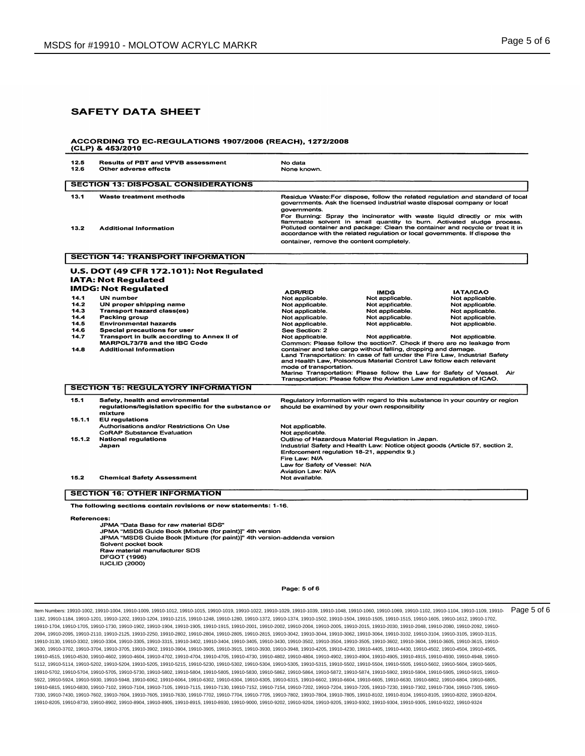#### ACCORDING TO EC-REGULATIONS 1907/2006 (REACH), 1272/2008 (CLP) & 453/2010

DFGOT (1996) IUCLID (2000)

|              | Other adverse effects                                                                                                                                                                                                                 | No data<br>None known.                                                                                                                                                                                                                                                                                                                                                                                                                                                                                                                           |                                                                                                                                                                                                                                                                                                                                                                     |                                                                                |
|--------------|---------------------------------------------------------------------------------------------------------------------------------------------------------------------------------------------------------------------------------------|--------------------------------------------------------------------------------------------------------------------------------------------------------------------------------------------------------------------------------------------------------------------------------------------------------------------------------------------------------------------------------------------------------------------------------------------------------------------------------------------------------------------------------------------------|---------------------------------------------------------------------------------------------------------------------------------------------------------------------------------------------------------------------------------------------------------------------------------------------------------------------------------------------------------------------|--------------------------------------------------------------------------------|
|              | <b>SECTION 13: DISPOSAL CONSIDERATIONS</b>                                                                                                                                                                                            |                                                                                                                                                                                                                                                                                                                                                                                                                                                                                                                                                  |                                                                                                                                                                                                                                                                                                                                                                     |                                                                                |
| 13.1<br>13.2 | Waste treatment methods<br><b>Additional Information</b>                                                                                                                                                                              | Residue Waste: For dispose, follow the related regulation and standard of local<br>governments. Ask the licensed industrial waste disposal company or local<br>governments.<br>For Burning: Spray the incinerator with waste liquid directly or mix with<br>flammable solvent in small quantity to burn. Activated sludge process.<br>Polluted container and package: Clean the container and recycle or treat it in<br>accordance with the related regulation or local governments. If dispose the<br>container, remove the content completely. |                                                                                                                                                                                                                                                                                                                                                                     |                                                                                |
|              | <b>SECTION 14: TRANSPORT INFORMATION</b>                                                                                                                                                                                              |                                                                                                                                                                                                                                                                                                                                                                                                                                                                                                                                                  |                                                                                                                                                                                                                                                                                                                                                                     |                                                                                |
|              | U.S. DOT (49 CFR 172.101): Not Regulated<br><b>IATA: Not Regulated</b><br><b>IMDG: Not Regulated</b>                                                                                                                                  | <b>ADR/RID</b>                                                                                                                                                                                                                                                                                                                                                                                                                                                                                                                                   | <b>IMDG</b>                                                                                                                                                                                                                                                                                                                                                         | <b>IATA/ICAO</b>                                                               |
| 14.1         | UN number                                                                                                                                                                                                                             | Not applicable.                                                                                                                                                                                                                                                                                                                                                                                                                                                                                                                                  | Not applicable.                                                                                                                                                                                                                                                                                                                                                     | Not applicable.                                                                |
| 14.2         | UN proper shipping name                                                                                                                                                                                                               | Not applicable.                                                                                                                                                                                                                                                                                                                                                                                                                                                                                                                                  | Not applicable.                                                                                                                                                                                                                                                                                                                                                     | Not applicable.                                                                |
| 14.3<br>14.4 | <b>Transport hazard class(es)</b><br>Packing group                                                                                                                                                                                    | Not applicable.<br>Not applicable.                                                                                                                                                                                                                                                                                                                                                                                                                                                                                                               | Not applicable.<br>Not applicable.                                                                                                                                                                                                                                                                                                                                  | Not applicable.<br>Not applicable.                                             |
| 14.5         | <b>Environmental hazards</b>                                                                                                                                                                                                          | Not applicable.                                                                                                                                                                                                                                                                                                                                                                                                                                                                                                                                  | Not applicable.                                                                                                                                                                                                                                                                                                                                                     | Not applicable.                                                                |
| 14.6         | Special precautions for user                                                                                                                                                                                                          | See Section: 2                                                                                                                                                                                                                                                                                                                                                                                                                                                                                                                                   |                                                                                                                                                                                                                                                                                                                                                                     |                                                                                |
| 14.7         | Transport in bulk according to Annex II of                                                                                                                                                                                            | Not applicable.                                                                                                                                                                                                                                                                                                                                                                                                                                                                                                                                  | Not applicable.                                                                                                                                                                                                                                                                                                                                                     | Not applicable.                                                                |
|              | MARPOL73/78 and the IBC Code                                                                                                                                                                                                          |                                                                                                                                                                                                                                                                                                                                                                                                                                                                                                                                                  | Common: Please follow the section7. Check if there are no leakage from                                                                                                                                                                                                                                                                                              |                                                                                |
| 14.8         | <b>Additional Information</b>                                                                                                                                                                                                         | mode of transportation.                                                                                                                                                                                                                                                                                                                                                                                                                                                                                                                          | container and take cargo without falling, dropping and damage.<br>Land Transportation: In case of fall under the Fire Law, Industrial Safety<br>and Health Law. Poisonous Material Control Law follow each relevant<br>Marine Transportation: Please follow the Law for Safety of Vessel.<br>Transportation: Please follow the Aviation Law and regulation of ICAO. | Air                                                                            |
|              | <b>SECTION 15: REGULATORY INFORMATION</b>                                                                                                                                                                                             |                                                                                                                                                                                                                                                                                                                                                                                                                                                                                                                                                  |                                                                                                                                                                                                                                                                                                                                                                     |                                                                                |
| 15.1         | Safety, health and environmental<br>regulations/legislation specific for the substance or<br>mixture                                                                                                                                  |                                                                                                                                                                                                                                                                                                                                                                                                                                                                                                                                                  | should be examined by your own responsibility                                                                                                                                                                                                                                                                                                                       | Regulatory information with regard to this substance in your country or region |
| 15.1.1       | <b>EU</b> regulations                                                                                                                                                                                                                 |                                                                                                                                                                                                                                                                                                                                                                                                                                                                                                                                                  |                                                                                                                                                                                                                                                                                                                                                                     |                                                                                |
|              | Authorisations and/or Restrictions On Use                                                                                                                                                                                             | Not applicable.                                                                                                                                                                                                                                                                                                                                                                                                                                                                                                                                  |                                                                                                                                                                                                                                                                                                                                                                     |                                                                                |
| 15.1.2       | <b>CoRAP Substance Evaluation</b><br><b>National regulations</b><br>Japan                                                                                                                                                             | Not applicable.<br>Enforcement regulation 18-21, appendix 9.)<br>Fire Law: N/A<br>Law for Safety of Vessel: N/A<br>Aviation Law: N/A                                                                                                                                                                                                                                                                                                                                                                                                             | Outline of Hazardous Material Regulation in Japan.                                                                                                                                                                                                                                                                                                                  | Industrial Safety and Health Law: Notice object goods (Article 57, section 2,  |
| 15.2         | <b>Chemical Safety Assessment</b>                                                                                                                                                                                                     | Not available.                                                                                                                                                                                                                                                                                                                                                                                                                                                                                                                                   |                                                                                                                                                                                                                                                                                                                                                                     |                                                                                |
|              | <b>SECTION 16: OTHER INFORMATION</b>                                                                                                                                                                                                  |                                                                                                                                                                                                                                                                                                                                                                                                                                                                                                                                                  |                                                                                                                                                                                                                                                                                                                                                                     |                                                                                |
|              | The following sections contain revisions or new statements: 1-16.                                                                                                                                                                     |                                                                                                                                                                                                                                                                                                                                                                                                                                                                                                                                                  |                                                                                                                                                                                                                                                                                                                                                                     |                                                                                |
| References:  | JPMA "Data Base for raw material SDS"<br>JPMA "MSDS Guide Book [Mixture (for paint)]" 4th version<br>JPMA "MSDS Guide Book [Mixture (for paint)]" 4th version-addenda version<br>Solvent pocket book<br>Raw material manufacturer SDS |                                                                                                                                                                                                                                                                                                                                                                                                                                                                                                                                                  |                                                                                                                                                                                                                                                                                                                                                                     |                                                                                |

Page: 5 of 6